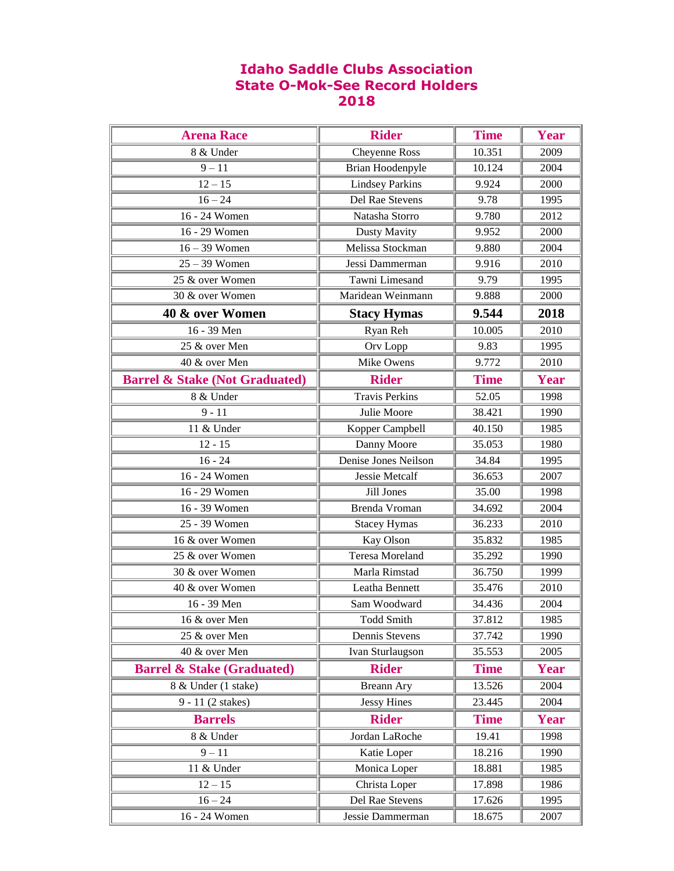## **Idaho Saddle Clubs Association State O-Mok-See Record Holders 2018**

| <b>Arena Race</b>                         | <b>Rider</b>            | <b>Time</b> | <b>Year</b> |
|-------------------------------------------|-------------------------|-------------|-------------|
| 8 & Under                                 | Cheyenne Ross           | 10.351      | 2009        |
| $9 - 11$                                  | <b>Brian Hoodenpyle</b> | 10.124      | 2004        |
| $12 - 15$                                 | <b>Lindsey Parkins</b>  | 9.924       | 2000        |
| $16 - 24$                                 | Del Rae Stevens         | 9.78        | 1995        |
| 16 - 24 Women                             | Natasha Storro          | 9.780       | 2012        |
| 16 - 29 Women                             | Dusty Mavity            | 9.952       | 2000        |
| $16 - 39$ Women                           | Melissa Stockman        | 9.880       | 2004        |
| $25 - 39$ Women                           | Jessi Dammerman         | 9.916       | 2010        |
| 25 & over Women                           | Tawni Limesand          | 9.79        | 1995        |
| 30 & over Women                           | Maridean Weinmann       | 9.888       | 2000        |
| 40 & over Women                           | <b>Stacy Hymas</b>      | 9.544       | 2018        |
| 16 - 39 Men                               | Ryan Reh                | 10.005      | 2010        |
| 25 & over Men                             | Orv Lopp                | 9.83        | 1995        |
| 40 & over Men                             | Mike Owens              | 9.772       | 2010        |
| <b>Barrel &amp; Stake (Not Graduated)</b> | <b>Rider</b>            | <b>Time</b> | Year        |
| 8 & Under                                 | <b>Travis Perkins</b>   | 52.05       | 1998        |
| $9 - 11$                                  | Julie Moore             | 38.421      | 1990        |
| 11 & Under                                | Kopper Campbell         | 40.150      | 1985        |
| $12 - 15$                                 | Danny Moore             | 35.053      | 1980        |
| $16 - 24$                                 | Denise Jones Neilson    | 34.84       | 1995        |
| 16 - 24 Women                             | Jessie Metcalf          | 36.653      | 2007        |
| 16 - 29 Women                             | Jill Jones              | 35.00       | 1998        |
| 16 - 39 Women                             | Brenda Vroman           | 34.692      | 2004        |
| 25 - 39 Women                             | <b>Stacey Hymas</b>     | 36.233      | 2010        |
| 16 & over Women                           | Kay Olson               | 35.832      | 1985        |
| 25 & over Women                           | <b>Teresa Moreland</b>  | 35.292      | 1990        |
| 30 & over Women                           | Marla Rimstad           | 36.750      | 1999        |
| 40 & over Women                           | Leatha Bennett          | 35.476      | 2010        |
| 16 - 39 Men                               | Sam Woodward            | 34.436      | 2004        |
| 16 & over Men                             | <b>Todd Smith</b>       | 37.812      | 1985        |
| 25 & over Men                             | Dennis Stevens          | 37.742      | 1990        |
| 40 & over Men                             | Ivan Sturlaugson        | 35.553      | 2005        |
| <b>Barrel &amp; Stake (Graduated)</b>     | <b>Rider</b>            | <b>Time</b> | Year        |
| 8 & Under (1 stake)                       | <b>Breann Ary</b>       | 13.526      | 2004        |
| 9 - 11 (2 stakes)                         | <b>Jessy Hines</b>      | 23.445      | 2004        |
| <b>Barrels</b>                            | <b>Rider</b>            | <b>Time</b> | Year        |
| 8 & Under                                 | Jordan LaRoche          | 19.41       | 1998        |
| $9 - 11$                                  | Katie Loper             | 18.216      | 1990        |
| 11 & Under                                | Monica Loper            | 18.881      | 1985        |
| $12 - 15$                                 | Christa Loper           | 17.898      | 1986        |
| $16 - 24$                                 | Del Rae Stevens         | 17.626      | 1995        |
| 16 - 24 Women                             | Jessie Dammerman        | 18.675      | 2007        |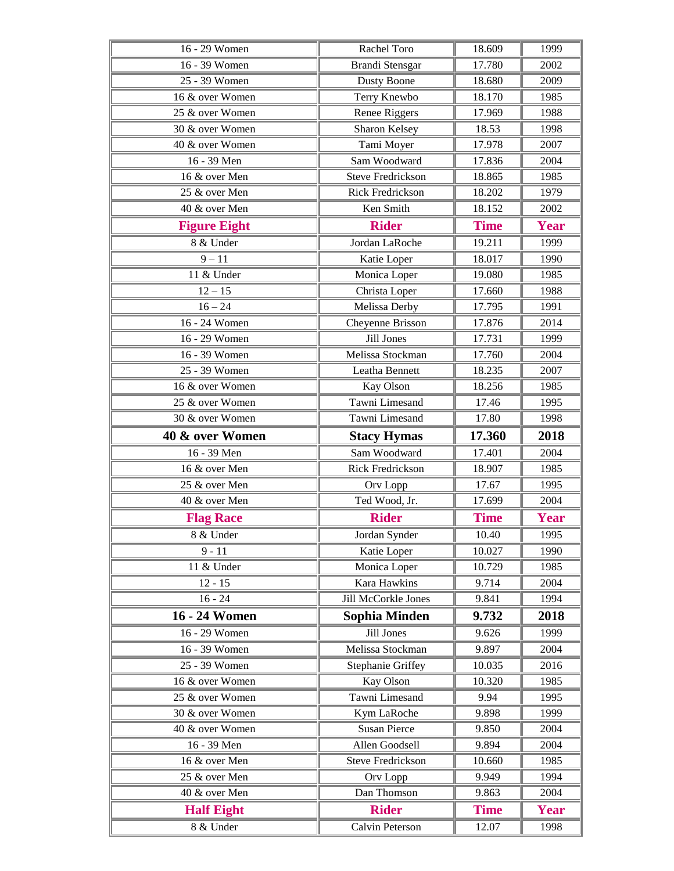| 16 - 29 Women       | Rachel Toro              | 18.609      | 1999        |
|---------------------|--------------------------|-------------|-------------|
| 16 - 39 Women       | <b>Brandi Stensgar</b>   | 17.780      | 2002        |
| 25 - 39 Women       | <b>Dusty Boone</b>       | 18.680      | 2009        |
| 16 & over Women     | Terry Knewbo             | 18.170      | 1985        |
| 25 & over Women     | Renee Riggers            | 17.969      | 1988        |
| 30 & over Women     | Sharon Kelsey            | 18.53       | 1998        |
| 40 & over Women     | Tami Moyer               | 17.978      | 2007        |
| 16 - 39 Men         | Sam Woodward             | 17.836      | 2004        |
| 16 & over Men       | <b>Steve Fredrickson</b> | 18.865      | 1985        |
| 25 & over Men       | <b>Rick Fredrickson</b>  | 18.202      | 1979        |
| 40 & over Men       | Ken Smith                | 18.152      | 2002        |
| <b>Figure Eight</b> | <b>Rider</b>             | <b>Time</b> | Year        |
| 8 & Under           | Jordan LaRoche           | 19.211      | 1999        |
| $9 - 11$            | Katie Loper              | 18.017      | 1990        |
| 11 & Under          | Monica Loper             | 19.080      | 1985        |
| $12 - 15$           | Christa Loper            | 17.660      | 1988        |
| $16 - 24$           | Melissa Derby            | 17.795      | 1991        |
| 16 - 24 Women       | Cheyenne Brisson         | 17.876      | 2014        |
| 16 - 29 Women       | Jill Jones               | 17.731      | 1999        |
| 16 - 39 Women       | Melissa Stockman         | 17.760      | 2004        |
| 25 - 39 Women       | Leatha Bennett           | 18.235      | 2007        |
| 16 & over Women     | Kay Olson                | 18.256      | 1985        |
| 25 & over Women     | Tawni Limesand           | 17.46       | 1995        |
| 30 & over Women     | Tawni Limesand           | 17.80       | 1998        |
| 40 & over Women     | <b>Stacy Hymas</b>       | 17.360      | 2018        |
|                     |                          |             |             |
| 16 - 39 Men         | Sam Woodward             | 17.401      | 2004        |
| 16 & over Men       | <b>Rick Fredrickson</b>  | 18.907      | 1985        |
| 25 & over Men       | Orv Lopp                 | 17.67       | 1995        |
| 40 & over Men       | Ted Wood, Jr.            | 17.699      | 2004        |
| <b>Flag Race</b>    | <b>Rider</b>             | <b>Time</b> | <b>Year</b> |
| 8 & Under           | Jordan Synder            | 10.40       | 1995        |
| $9 - 11$            | Katie Loper              | 10.027      | 1990        |
| 11 & Under          | Monica Loper             | 10.729      | 1985        |
| $12 - 15$           | Kara Hawkins             | 9.714       | 2004        |
| $16 - 24$           | Jill McCorkle Jones      | 9.841       | 1994        |
| 16 - 24 Women       | Sophia Minden            | 9.732       | 2018        |
| 16 - 29 Women       | Jill Jones               | 9.626       | 1999        |
| 16 - 39 Women       | Melissa Stockman         | 9.897       | 2004        |
| 25 - 39 Women       | <b>Stephanie Griffey</b> | 10.035      | 2016        |
| 16 & over Women     | Kay Olson                | 10.320      | 1985        |
| 25 & over Women     | Tawni Limesand           | 9.94        | 1995        |
| 30 & over Women     | Kym LaRoche              | 9.898       | 1999        |
| 40 & over Women     | <b>Susan Pierce</b>      | 9.850       | 2004        |
| 16 - 39 Men         | Allen Goodsell           | 9.894       | 2004        |
| 16 & over Men       | <b>Steve Fredrickson</b> | 10.660      | 1985        |
| 25 & over Men       | Orv Lopp                 | 9.949       | 1994        |
| 40 & over Men       | Dan Thomson              | 9.863       | 2004        |
| <b>Half Eight</b>   | <b>Rider</b>             | <b>Time</b> | <b>Year</b> |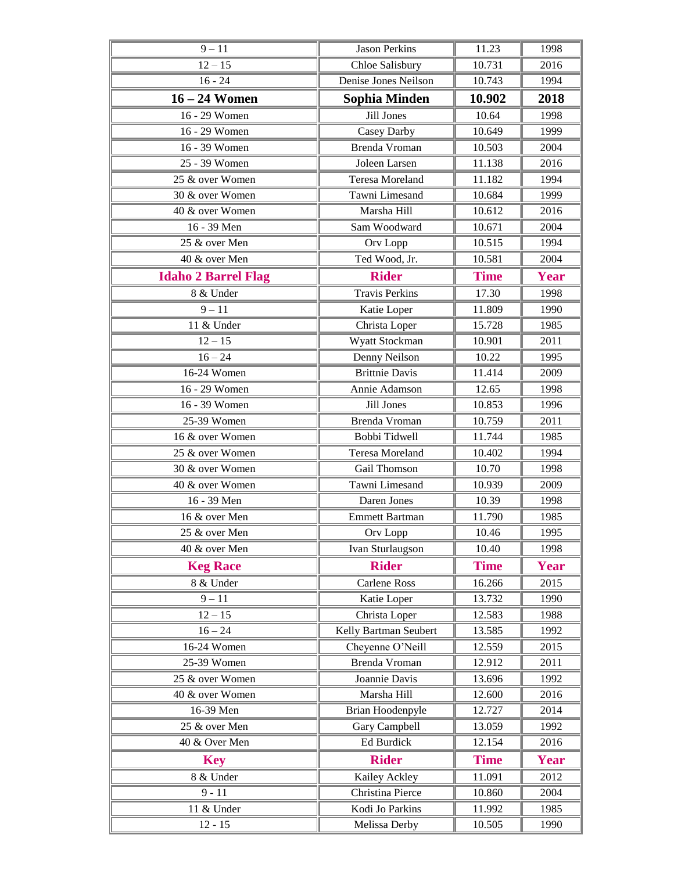| $9 - 11$                   | <b>Jason Perkins</b>   | 11.23       | 1998        |
|----------------------------|------------------------|-------------|-------------|
| $12 - 15$                  | Chloe Salisbury        | 10.731      | 2016        |
| $16 - 24$                  | Denise Jones Neilson   | 10.743      | 1994        |
| $16 - 24$ Women            | <b>Sophia Minden</b>   | 10.902      | 2018        |
| 16 - 29 Women              | <b>Jill Jones</b>      | 10.64       | 1998        |
| 16 - 29 Women              | Casey Darby            | 10.649      | 1999        |
| 16 - 39 Women              | Brenda Vroman          | 10.503      | 2004        |
| 25 - 39 Women              | Joleen Larsen          | 11.138      | 2016        |
| 25 & over Women            | <b>Teresa Moreland</b> | 11.182      | 1994        |
| 30 & over Women            | Tawni Limesand         | 10.684      | 1999        |
| 40 & over Women            | Marsha Hill            | 10.612      | 2016        |
| 16 - 39 Men                | Sam Woodward           | 10.671      | 2004        |
| 25 & over Men              | Orv Lopp               | 10.515      | 1994        |
| 40 & over Men              | Ted Wood, Jr.          | 10.581      | 2004        |
| <b>Idaho 2 Barrel Flag</b> | <b>Rider</b>           | <b>Time</b> | <b>Year</b> |
| 8 & Under                  | <b>Travis Perkins</b>  | 17.30       | 1998        |
| $9 - 11$                   | Katie Loper            | 11.809      | 1990        |
| 11 & Under                 | Christa Loper          | 15.728      | 1985        |
| $12 - 15$                  | Wyatt Stockman         | 10.901      | 2011        |
| $\frac{1}{6} - 24$         | Denny Neilson          | 10.22       | 1995        |
| 16-24 Women                | <b>Brittnie Davis</b>  | 11.414      | 2009        |
| 16 - 29 Women              | Annie Adamson          | 12.65       | 1998        |
| 16 - 39 Women              | Jill Jones             | 10.853      | 1996        |
| 25-39 Women                | <b>Brenda Vroman</b>   | 10.759      | 2011        |
| 16 & over Women            | Bobbi Tidwell          | 11.744      | 1985        |
| 25 & over Women            | <b>Teresa Moreland</b> | 10.402      | 1994        |
| 30 & over Women            | Gail Thomson           | 10.70       | 1998        |
| 40 & over Women            | Tawni Limesand         | 10.939      | 2009        |
| 16 - 39 Men                | Daren Jones            | 10.39       | 1998        |
| 16 & over Men              | <b>Emmett Bartman</b>  | 11.790      | 1985        |
| 25 & over Men              | Orv Lopp               | 10.46       | 1995        |
| 40 & over Men              | Ivan Sturlaugson       | 10.40       | 1998        |
| <b>Keg Race</b>            | <b>Rider</b>           | <b>Time</b> | Year        |
| 8 & Under                  | <b>Carlene Ross</b>    | 16.266      | 2015        |
| $9 - 11$                   | Katie Loper            | 13.732      | 1990        |
| $12 - 15$                  | Christa Loper          | 12.583      | 1988        |
| $16 - 24$                  | Kelly Bartman Seubert  | 13.585      | 1992        |
| 16-24 Women                | Cheyenne O'Neill       | 12.559      | 2015        |
| 25-39 Women                | Brenda Vroman          | 12.912      | 2011        |
| 25 & over Women            | Joannie Davis          | 13.696      | 1992        |
| 40 & over Women            | Marsha Hill            | 12.600      | 2016        |
| 16-39 Men                  | Brian Hoodenpyle       | 12.727      | 2014        |
| 25 & over Men              | Gary Campbell          | 13.059      | 1992        |
| 40 & Over Men              | Ed Burdick             | 12.154      | 2016        |
| <b>Key</b>                 | <b>Rider</b>           | <b>Time</b> | Year        |
| 8 & Under                  | Kailey Ackley          | 11.091      | 2012        |
| $9 - 11$                   | Christina Pierce       | 10.860      | 2004        |
| 11 & Under                 | Kodi Jo Parkins        | 11.992      | 1985        |
| $12 - 15$                  | Melissa Derby          | 10.505      | 1990        |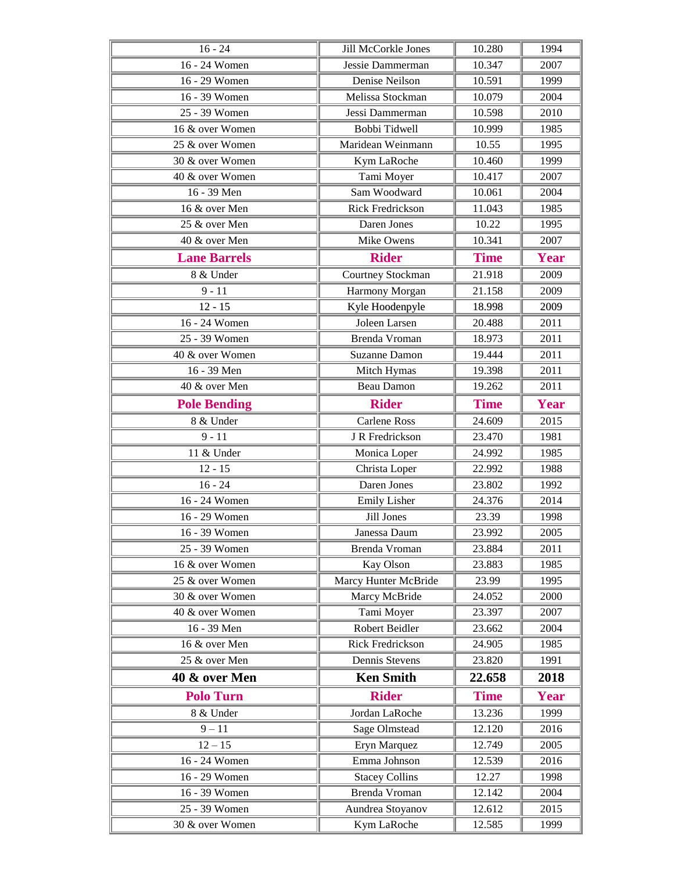| $16 - 24$                        | Jill McCorkle Jones             | 10.280           | 1994         |
|----------------------------------|---------------------------------|------------------|--------------|
| 16 - 24 Women                    | Jessie Dammerman                | 10.347           | 2007         |
| 16 - 29 Women                    | Denise Neilson                  | 10.591           | 1999         |
| 16 - 39 Women                    | Melissa Stockman                | 10.079           | 2004         |
| 25 - 39 Women                    | Jessi Dammerman                 | 10.598           | 2010         |
| 16 & over Women                  | Bobbi Tidwell                   | 10.999           | 1985         |
| 25 & over Women                  | Maridean Weinmann               | 10.55            | 1995         |
| 30 & over Women                  | Kym LaRoche                     | 10.460           | 1999         |
| 40 & over Women                  | Tami Moyer                      | 10.417           | 2007         |
| 16 - 39 Men                      | Sam Woodward                    | 10.061           | 2004         |
| 16 & over Men                    | <b>Rick Fredrickson</b>         | 11.043           | 1985         |
| 25 & over Men                    | Daren Jones                     | 10.22            | 1995         |
| 40 & over Men                    | Mike Owens                      | 10.341           | 2007         |
| <b>Lane Barrels</b>              | <b>Rider</b>                    | <b>Time</b>      | <b>Year</b>  |
| 8 & Under                        | Courtney Stockman               | 21.918           | 2009         |
| $9 - 11$                         | Harmony Morgan                  | 21.158           | 2009         |
| $12 - 15$                        | Kyle Hoodenpyle                 | 18.998           | 2009         |
| 16 - 24 Women                    | Joleen Larsen                   | 20.488           | 2011         |
| 25 - 39 Women                    | Brenda Vroman                   | 18.973           | 2011         |
| 40 & over Women                  | <b>Suzanne Damon</b>            | 19.444           | 2011         |
| 16 - 39 Men                      | Mitch Hymas                     | 19.398           | 2011         |
| 40 & over Men                    | Beau Damon                      | 19.262           | 2011         |
| <b>Pole Bending</b>              | <b>Rider</b>                    | <b>Time</b>      | Year         |
| 8 & Under                        | <b>Carlene Ross</b>             | 24.609           | 2015         |
| $9 - 11$                         | J R Fredrickson                 | 23.470           | 1981         |
| 11 & Under                       | Monica Loper                    | 24.992           | 1985         |
| $12 - 15$                        | Christa Loper                   | 22.992           | 1988         |
| $16 - 24$                        | Daren Jones                     | 23.802           | 1992         |
| 16 - 24 Women                    | <b>Emily Lisher</b>             | 24.376           | 2014         |
| 16 - 29 Women                    | Jill Jones                      | 23.39            | 1998         |
| $\overline{16}$ - 39 Women       | Janessa Daum                    | 23.992           | 2005         |
| 25 - 39 Women                    | Brenda Vroman                   | 23.884           | 2011         |
| 16 & over Women                  | Kay Olson                       | 23.883           | 1985         |
| 25 & over Women                  | Marcy Hunter McBride            | 23.99            | 1995         |
| 30 & over Women                  | Marcy McBride                   | 24.052           | 2000         |
| 40 & over Women                  | Tami Moyer                      | 23.397           | 2007         |
| 16 - 39 Men                      | Robert Beidler                  | 23.662           | 2004         |
| 16 & over Men                    | <b>Rick Fredrickson</b>         | 24.905           | 1985         |
| 25 & over Men                    | Dennis Stevens                  | 23.820           | 1991         |
| 40 & over Men                    | <b>Ken Smith</b>                | 22.658           | 2018         |
| <b>Polo Turn</b>                 | <b>Rider</b>                    | <b>Time</b>      | Year         |
| 8 & Under                        | Jordan LaRoche                  | 13.236           | 1999         |
| $9 - 11$                         | <b>Sage Olmstead</b>            | 12.120           | 2016         |
| $12 - 15$                        | Eryn Marquez                    | 12.749           | 2005         |
| 16 - 24 Women                    | Emma Johnson                    | 12.539           | 2016         |
| 16 - 29 Women                    |                                 |                  |              |
|                                  | <b>Stacey Collins</b>           | 12.27            | 1998         |
| 16 - 39 Women                    | Brenda Vroman                   | 12.142           | 2004         |
| 25 - 39 Women<br>30 & over Women | Aundrea Stoyanov<br>Kym LaRoche | 12.612<br>12.585 | 2015<br>1999 |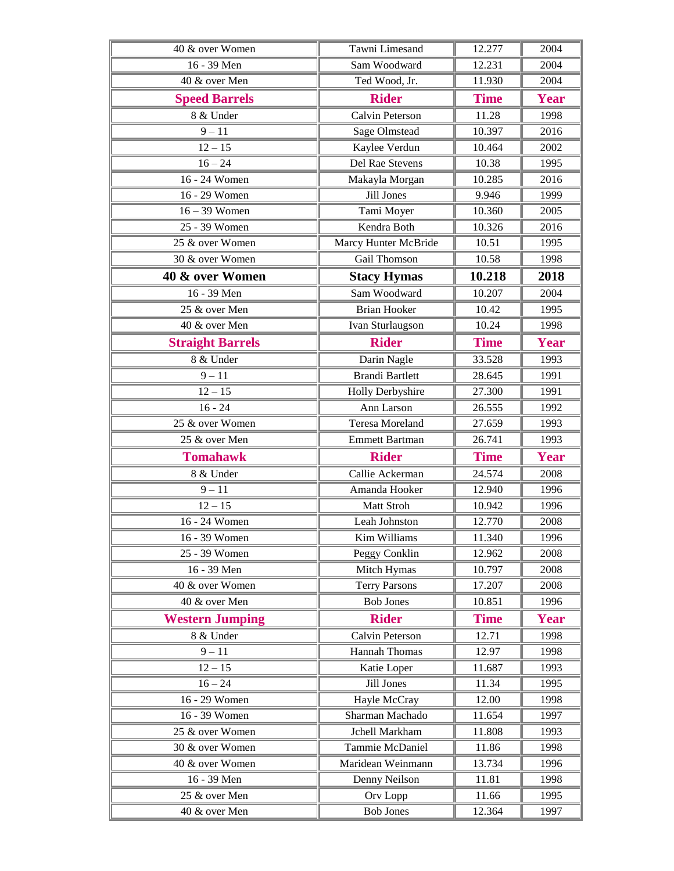| 40 & over Women         | Tawni Limesand          | 12.277          | 2004         |
|-------------------------|-------------------------|-----------------|--------------|
| 16 - 39 Men             | Sam Woodward            | 12.231          | 2004         |
| 40 & over Men           | Ted Wood, Jr.           | 11.930          | 2004         |
| <b>Speed Barrels</b>    | <b>Rider</b>            | <b>Time</b>     | <b>Year</b>  |
| 8 & Under               | Calvin Peterson         | 11.28           | 1998         |
| $9 - 11$                | Sage Olmstead           | 10.397          | 2016         |
| $12 - 15$               | Kaylee Verdun           | 10.464          | 2002         |
| $16 - 24$               | Del Rae Stevens         | 10.38           | 1995         |
| 16 - 24 Women           | Makayla Morgan          | 10.285          | 2016         |
| 16 - 29 Women           | Jill Jones              | 9.946           | 1999         |
| $16 - 39$ Women         | Tami Moyer              | 10.360          | 2005         |
| 25 - 39 Women           | Kendra Both             | 10.326          | 2016         |
| 25 & over Women         | Marcy Hunter McBride    | 10.51           | 1995         |
| 30 & over Women         | Gail Thomson            | 10.58           | 1998         |
| 40 & over Women         | <b>Stacy Hymas</b>      | 10.218          | 2018         |
| 16 - 39 Men             | Sam Woodward            | 10.207          | 2004         |
| 25 & over Men           | <b>Brian Hooker</b>     | 10.42           | 1995         |
| 40 & over Men           | Ivan Sturlaugson        | 10.24           | 1998         |
| <b>Straight Barrels</b> | <b>Rider</b>            | <b>Time</b>     | <b>Year</b>  |
| 8 & Under               | Darin Nagle             | 33.528          | 1993         |
| $9 - 11$                | <b>Brandi Bartlett</b>  | 28.645          | 1991         |
| $12 - 15$               | <b>Holly Derbyshire</b> | 27.300          | 1991         |
| $16 - 24$               | Ann Larson              | 26.555          | 1992         |
| 25 & over Women         | Teresa Moreland         | 27.659          | 1993         |
| 25 & over Men           | <b>Emmett Bartman</b>   | 26.741          | 1993         |
| <b>Tomahawk</b>         | <b>Rider</b>            | <b>Time</b>     | <b>Year</b>  |
| 8 & Under               | Callie Ackerman         | 24.574          | 2008         |
| $9 - 11$                | Amanda Hooker           | 12.940          | 1996         |
| $12 - 15$               | Matt Stroh              | 10.942          | 1996         |
| 16 - 24 Women           | Leah Johnston           | 12.770          | 2008         |
| 16 - 39 Women           | Kim Williams            | 11.340          | 1996         |
| 25 - 39 Women           | Peggy Conklin           | 12.962          | 2008         |
| 16 - 39 Men             | Mitch Hymas             | 10.797          | 2008         |
| 40 & over Women         | <b>Terry Parsons</b>    | 17.207          | 2008         |
| 40 & over Men           | <b>Bob Jones</b>        | 10.851          | 1996         |
| <b>Western Jumping</b>  | <b>Rider</b>            | <b>Time</b>     | <b>Year</b>  |
| 8 & Under               | Calvin Peterson         | 12.71           | 1998         |
| $9 - 11$                | <b>Hannah Thomas</b>    | 12.97           | 1998         |
| $12 - 15$               | Katie Loper             | 11.687          | 1993         |
| $16 - 24$               | Jill Jones              | 11.34           | 1995         |
| 16 - 29 Women           | Hayle McCray            | 12.00           | 1998         |
| 16 - 39 Women           | Sharman Machado         | 11.654          | 1997         |
| 25 & over Women         | Jchell Markham          | 11.808          | 1993         |
| 30 & over Women         | Tammie McDaniel         | 11.86           | 1998         |
| 40 & over Women         | Maridean Weinmann       | 13.734          | 1996         |
| 16 - 39 Men             | Denny Neilson           | 11.81           | 1998         |
| 25 & over Men           | Orv Lopp                | 11.66<br>12.364 | 1995<br>1997 |
| 40 & over Men           | <b>Bob Jones</b>        |                 |              |